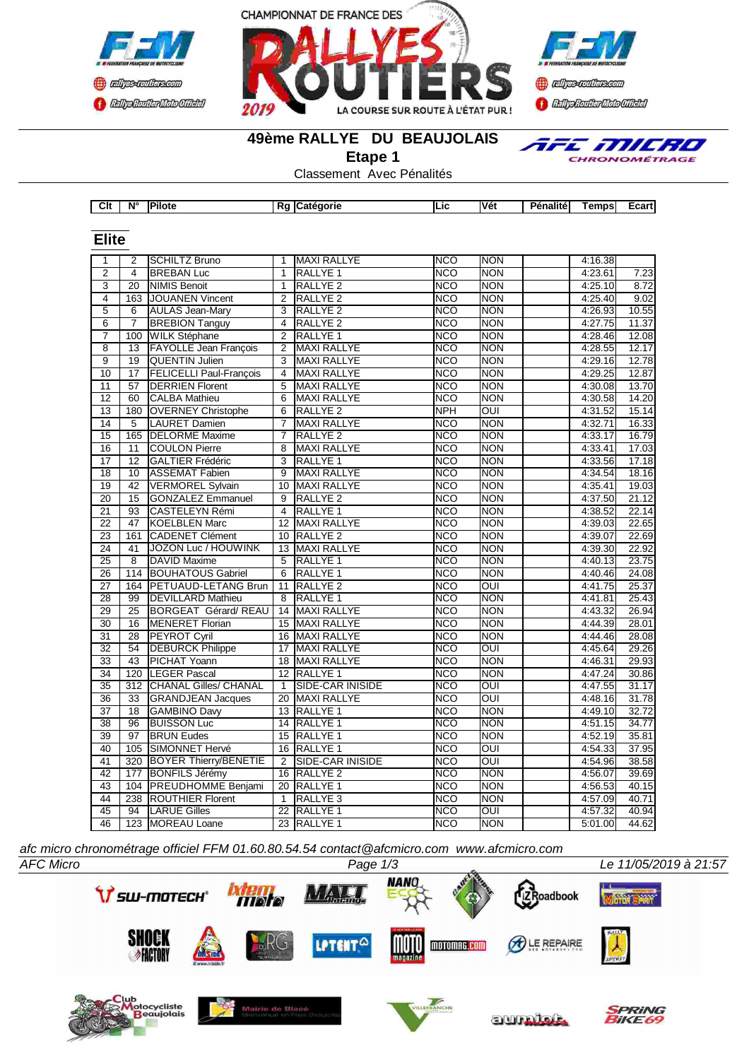

**Elite**





TFE MILRO CHRONOMÉTRAGE

### **49ème RALLYE DU BEAUJOLAIS**

**Etape 1**

Classement Avec Pénalités

| Clt | $N^{\circ}$ | $I \sim$<br>ווחוו | в.<br>к. | orit | ∟IC. | . .<br>۱V۵<br>• | ---<br>alite | <b>Smnc</b> | ∟cart⊑ |
|-----|-------------|-------------------|----------|------|------|-----------------|--------------|-------------|--------|

| Elite           |                  |                                |                 |                     |            |                         |         |       |
|-----------------|------------------|--------------------------------|-----------------|---------------------|------------|-------------------------|---------|-------|
| 1               | 2                | <b>SCHILTZ Bruno</b>           | 1               | <b>MAXI RALLYE</b>  | <b>NCO</b> | <b>NON</b>              | 4:16.38 |       |
| $\overline{2}$  | 4                | <b>BREBAN Luc</b>              | 1               | RALLYE <sub>1</sub> | <b>NCO</b> | <b>NON</b>              | 4:23.61 | 7.23  |
| 3               | 20               | NIMIS Benoit                   | 1               | <b>RALLYE 2</b>     | <b>NCO</b> | <b>NON</b>              | 4:25.10 | 8.72  |
| $\overline{4}$  | 163              | JOUANEN Vincent                | $\overline{2}$  | RALLYE <sub>2</sub> | <b>NCO</b> | <b>NON</b>              | 4:25.40 | 9.02  |
| 5               | 6                | <b>AULAS Jean-Mary</b>         | 3               | RALLYE <sub>2</sub> | <b>NCO</b> | <b>NON</b>              | 4:26.93 | 10.55 |
| $\overline{6}$  | $\overline{7}$   | <b>BREBION Tanguy</b>          | $\overline{4}$  | <b>RALLYE 2</b>     | <b>NCO</b> | <b>NON</b>              | 4:27.75 | 11.37 |
| $\overline{7}$  | 100              | <b>WILK Stéphane</b>           | $\overline{2}$  | RALLYE <sub>1</sub> | <b>NCO</b> | <b>NON</b>              | 4:28.46 | 12.08 |
| $\overline{8}$  | 13               | <b>FAYOLLE Jean François</b>   | $\overline{2}$  | <b>MAXI RALLYE</b>  | <b>NCO</b> | <b>NON</b>              | 4:28.55 | 12.17 |
| $\overline{9}$  | $\overline{19}$  | <b>QUENTIN Julien</b>          | 3               | <b>MAXI RALLYE</b>  | <b>NCO</b> | <b>NON</b>              | 4:29.16 | 12.78 |
| 10              | $\overline{17}$  | <b>FELICELLI Paul-François</b> | $\overline{4}$  | <b>MAXI RALLYE</b>  | <b>NCO</b> | <b>NON</b>              | 4:29.25 | 12.87 |
| 11              | $\overline{57}$  | <b>DERRIEN Florent</b>         | $\overline{5}$  | <b>MAXI RALLYE</b>  | <b>NCO</b> | <b>NON</b>              | 4:30.08 | 13.70 |
| 12              | 60               | <b>CALBA Mathieu</b>           | 6               | <b>MAXI RALLYE</b>  | <b>NCO</b> | <b>NON</b>              | 4:30.58 | 14.20 |
| 13              | 180              | <b>OVERNEY Christophe</b>      | 6               | RALLYE <sub>2</sub> | <b>NPH</b> | $\overline{\text{OUI}}$ | 4:31.52 | 15.14 |
| 14              | 5                | <b>LAURET Damien</b>           | $\overline{7}$  | <b>MAXI RALLYE</b>  | <b>NCO</b> | <b>NON</b>              | 4:32.71 | 16.33 |
| 15              | 165              | <b>DELORME Maxime</b>          | 7               | <b>RALLYE 2</b>     | <b>NCO</b> | <b>NON</b>              | 4:33.17 | 16.79 |
| 16              | 11               | <b>COULON Pierre</b>           | 8               | <b>MAXI RALLYE</b>  | <b>NCO</b> | <b>NON</b>              | 4:33.41 | 17.03 |
| 17              | 12               | <b>GALTIER Frédéric</b>        | 3               | RALLYE <sub>1</sub> | <b>NCO</b> | <b>NON</b>              | 4:33.56 | 17.18 |
| $\overline{18}$ | 10               | <b>ASSEMAT Fabien</b>          | $\overline{9}$  | <b>MAXI RALLYE</b>  | <b>NCO</b> | <b>NON</b>              | 4:34.54 | 18.16 |
| $\overline{19}$ | $\overline{42}$  | <b>VERMOREL Sylvain</b>        | 10              | <b>MAXI RALLYE</b>  | <b>NCO</b> | <b>NON</b>              | 4:35.41 | 19.03 |
| $\overline{20}$ | $\overline{15}$  | <b>GONZALEZ Emmanuel</b>       | 9               | RALLYE <sub>2</sub> | <b>NCO</b> | <b>NON</b>              | 4:37.50 | 21.12 |
| $\overline{21}$ | $\overline{93}$  | <b>CASTELEYN Rémi</b>          | $\overline{4}$  | RALLYE <sub>1</sub> | <b>NCO</b> | <b>NON</b>              | 4:38.52 | 22.14 |
| 22              | 47               | KOELBLEN Marc                  | 12              | <b>MAXI RALLYE</b>  | NCO        | <b>NON</b>              | 4:39.03 | 22.65 |
| 23              | 161              | <b>CADENET Clément</b>         | 10              | <b>RALLYE 2</b>     | <b>NCO</b> | <b>NON</b>              | 4:39.07 | 22.69 |
| 24              | 41               | <b>JOZON Luc / HOUWINK</b>     | 13              | <b>MAXI RALLYE</b>  | <b>NCO</b> | <b>NON</b>              | 4:39.30 | 22.92 |
| $\overline{25}$ | 8                | <b>DAVID Maxime</b>            | 5               | <b>RALLYE 1</b>     | <b>NCO</b> | <b>NON</b>              | 4:40.13 | 23.75 |
| $\overline{26}$ | 114              | <b>BOUHATOUS Gabriel</b>       | $6\overline{6}$ | RALLYE <sub>1</sub> | <b>NCO</b> | <b>NON</b>              | 4:40.46 | 24.08 |
| 27              | 164              | <b>PETUAUD-LETANG Brun</b>     | 11              | RALLYE <sub>2</sub> | <b>NCO</b> | <b>OUI</b>              | 4:41.75 | 25.37 |
| $\overline{28}$ | 99               | <b>DEVILLARD Mathieu</b>       | 8               | RALLYE <sub>1</sub> | <b>NCO</b> | <b>NON</b>              | 4:41.81 | 25.43 |
| $\overline{29}$ | $\overline{25}$  | <b>BORGEAT Gérard/REAU</b>     | 14              | <b>MAXI RALLYE</b>  | <b>NCO</b> | <b>NON</b>              | 4:43.32 | 26.94 |
| $\overline{30}$ | $\overline{16}$  | <b>MENERET Florian</b>         | 15              | <b>MAXI RALLYE</b>  | <b>NCO</b> | <b>NON</b>              | 4:44.39 | 28.01 |
| $\overline{31}$ | $\overline{28}$  | <b>PEYROT Cyril</b>            | 16              | <b>MAXI RALLYE</b>  | <b>NCO</b> | <b>NON</b>              | 4:44.46 | 28.08 |
| $\overline{32}$ | 54               | <b>DEBURCK Philippe</b>        | 17              | <b>MAXI RALLYE</b>  | <b>NCO</b> | OUI                     | 4:45.64 | 29.26 |
| 33              | 43               | <b>PICHAT Yoann</b>            | 18              | <b>MAXI RALLYE</b>  | <b>NCO</b> | <b>NON</b>              | 4:46.31 | 29.93 |
| 34              | 120              | <b>LEGER Pascal</b>            |                 | 12 RALLYE 1         | <b>NCO</b> | <b>NON</b>              | 4:47.24 | 30.86 |
| 35              | $\overline{312}$ | <b>CHANAL Gilles/ CHANAL</b>   | $\mathbf{1}$    | SIDE-CAR INISIDE    | <b>NCO</b> | OUI                     | 4:47.55 | 31.17 |
| 36              | 33               | <b>GRANDJEAN Jacques</b>       | 20              | <b>MAXI RALLYE</b>  | <b>NCO</b> | OUI                     | 4:48.16 | 31.78 |
| 37              | 18               | <b>GAMBINO Davy</b>            | 13              | <b>RALLYE 1</b>     | <b>NCO</b> | <b>NON</b>              | 4:49.10 | 32.72 |
| $\overline{38}$ | 96               | <b>BUISSON Luc</b>             | 14              | RALLYE <sub>1</sub> | <b>NCO</b> | <b>NON</b>              | 4:51.15 | 34.77 |
| 39              | $\overline{97}$  | <b>BRUN Eudes</b>              | 15              | <b>RALLYE 1</b>     | <b>NCO</b> | <b>NON</b>              | 4:52.19 | 35.81 |
| 40              | 105              | SIMONNET Hervé                 | 16              | <b>RALLYE 1</b>     | <b>NCO</b> | $\overline{\text{out}}$ | 4:54.33 | 37.95 |
| 41              | 320              | <b>BOYER Thierry/BENETIE</b>   | $\overline{2}$  | SIDE-CAR INISIDE    | <b>NCO</b> | OUI                     | 4:54.96 | 38.58 |
| 42              | 177              | <b>IBONFILS Jérémv</b>         | 16              | <b>RALLYE 2</b>     | <b>NCO</b> | <b>NON</b>              | 4:56.07 | 39.69 |
| $\overline{43}$ | 104              | <b>PREUDHOMME Benjami</b>      | 20              | RALLYE <sub>1</sub> | <b>NCO</b> | <b>NON</b>              | 4:56.53 | 40.15 |
| 44              | 238              | <b>ROUTHIER Florent</b>        | $\mathbf{1}$    | RALLYE <sub>3</sub> | <b>NCO</b> | <b>NON</b>              | 4:57.09 | 40.71 |
| 45              | 94               | <b>LARUE Gilles</b>            | $\overline{22}$ | <b>RALLYE 1</b>     | <b>NCO</b> | OUI                     | 4:57.32 | 40.94 |
| 46              |                  | 123 MOREAU Loane               |                 | 23 RALLYE 1         | <b>NCO</b> | <b>NON</b>              | 5:01.00 | 44.62 |
|                 |                  |                                |                 |                     |            |                         |         |       |

*afc micro chronométrage officiel FFM 01.60.80.54.54 contact@afcmicro.com www.afcmicro.com*

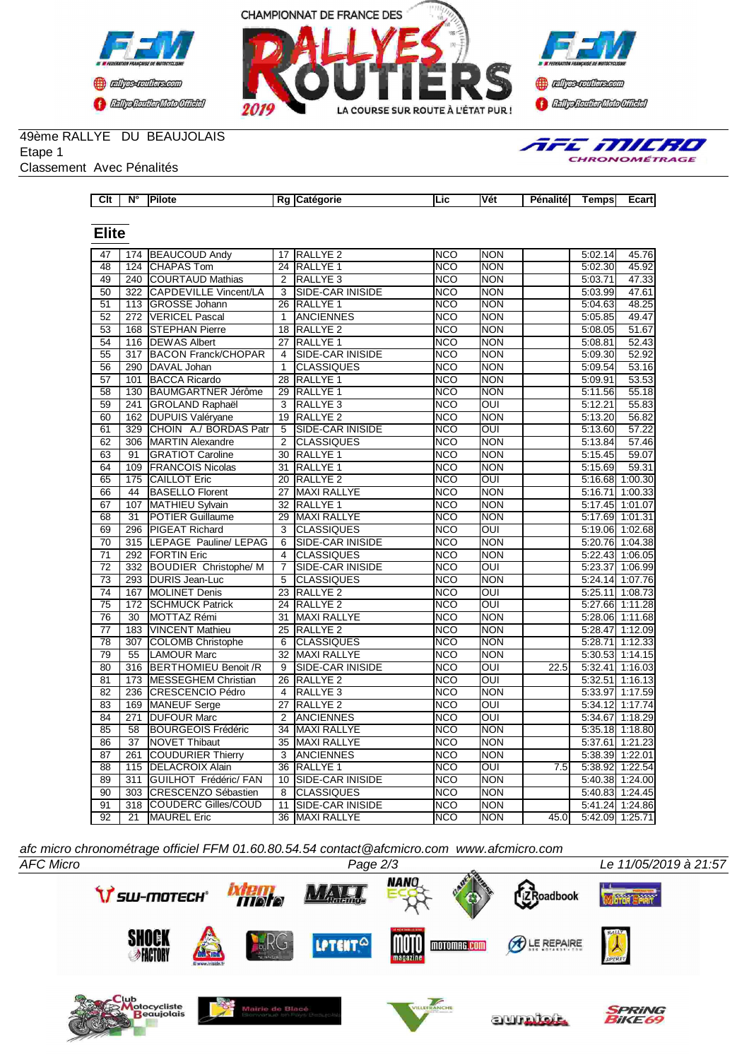





AFE MILRO CHRONOMÉTRAGE

## 49ème RALLYE DU BEAUJOLAIS

Etape 1

Classement Avec Pénalités

| $\overline{\text{Clt}}$ | $N^{\circ}$ | <b>Pilote</b> | Rg Catégorie | ILic | <b>Vét</b> | Pénalité | Tempsl | Ecart |
|-------------------------|-------------|---------------|--------------|------|------------|----------|--------|-------|
|                         |             |               |              |      |            |          |        |       |
| -lite                   |             |               |              |      |            |          |        |       |

## **Elite**

| 47              |                  | 174 BEAUCOUD Andy            | 17              | RALLYE <sub>2</sub>     | NCO              | <b>NON</b>              |      | 5:02.14 | 45.76             |
|-----------------|------------------|------------------------------|-----------------|-------------------------|------------------|-------------------------|------|---------|-------------------|
| 48              | 124              | <b>ICHAPAS Tom</b>           | $\overline{24}$ | <b>RALLYE 1</b>         | <b>NCO</b>       | <b>NON</b>              |      | 5:02.30 | 45.92             |
| 49              |                  | 240 COURTAUD Mathias         | $\overline{2}$  | <b>RALLYE 3</b>         | NCO              | <b>NON</b>              |      | 5:03.71 | 47.33             |
| $\overline{50}$ | $\overline{322}$ | <b>CAPDEVILLE Vincent/LA</b> | $\overline{3}$  | SIDE-CAR INISIDE        | <b>NCO</b>       | <b>NON</b>              |      | 5:03.99 | 47.61             |
| $\overline{51}$ |                  | 113 GROSSE Johann            | 26              | <b>RALLYE 1</b>         | <b>NCO</b>       | <b>NON</b>              |      | 5:04.63 | 48.25             |
| 52              | $\overline{272}$ | <b>VERICEL Pascal</b>        | 1               | <b>ANCIENNES</b>        | <b>NCO</b>       | <b>NON</b>              |      | 5:05.85 | 49.47             |
| 53              | 168              | <b>STEPHAN Pierre</b>        | 18              | RALLYE <sub>2</sub>     | <b>NCO</b>       | <b>NON</b>              |      | 5:08.05 | 51.67             |
| 54              | 116              | <b>DEWAS Albert</b>          | 27              | RALLYE <sub>1</sub>     | <b>NCO</b>       | <b>NON</b>              |      | 5:08.81 | 52.43             |
| 55              | 317              | <b>BACON Franck/CHOPAR</b>   | 4               | SIDE-CAR INISIDE        | $\overline{NCO}$ | <b>NON</b>              |      | 5:09.30 | 52.92             |
| 56              | 290              | DAVAL Johan                  | $\mathbf{1}$    | <b>CLASSIQUES</b>       | <b>NCO</b>       | <b>NON</b>              |      | 5:09.54 | 53.16             |
| 57              | 101              | <b>BACCA Ricardo</b>         | 28              | RALLYE <sub>1</sub>     | <b>NCO</b>       | <b>NON</b>              |      | 5:09.91 | 53.53             |
| 58              | 130              | <b>BAUMGARTNER Jérôme</b>    | 29              | <b>RALLYE 1</b>         | <b>NCO</b>       | <b>NON</b>              |      | 5:11.56 | 55.18             |
| 59              | 241              | <b>GROLAND Raphaël</b>       | 3               | RALLYE <sub>3</sub>     | <b>NCO</b>       | $\overline{O}$          |      | 5:12.21 | 55.83             |
| 60              | 162              | <b>DUPUIS Valéryane</b>      | $\overline{19}$ | <b>RALLYE 2</b>         | <b>NCO</b>       | <b>NON</b>              |      | 5:13.20 | 56.82             |
| 61              | 329              | CHOIN A./ BORDAS Patr        | 5               | <b>SIDE-CAR INISIDE</b> | <b>NCO</b>       | $\overline{O}$          |      | 5:13.60 | 57.22             |
| 62              | $\overline{306}$ | <b>MARTIN Alexandre</b>      | $\mathfrak{p}$  | <b>CLASSIQUES</b>       | <b>NCO</b>       | <b>NON</b>              |      | 5:13.84 | 57.46             |
| 63              | $\overline{91}$  | <b>GRATIOT Caroline</b>      | 30              | RALLYE <sub>1</sub>     | <b>NCO</b>       | <b>NON</b>              |      | 5:15.45 | 59.07             |
| 64              | 109              | <b>FRANCOIS Nicolas</b>      | 31              | RALLYE <sub>1</sub>     | <b>NCO</b>       | <b>NON</b>              |      | 5:15.69 | 59.31             |
| 65              | 175              | <b>CAILLOT Eric</b>          | 20              | <b>RALLYE 2</b>         | <b>NCO</b>       | $\overline{\text{OUI}}$ |      |         | 5:16.68 1:00.30   |
| 66              | 44               | <b>BASELLO Florent</b>       | 27              | <b>MAXI RALLYE</b>      | <b>NCO</b>       | <b>NON</b>              |      |         | 5:16.71 1:00.33   |
| 67              | 107              | MATHIEU Sylvain              | 32              | <b>RALLYE 1</b>         | <b>NCO</b>       | <b>NON</b>              |      |         | 5:17.45 1:01.07   |
| 68              | 31               | <b>POTIER Guillaume</b>      | 29              | <b>MAXI RALLYE</b>      | <b>NCO</b>       | <b>NON</b>              |      | 5:17.69 | 1:01.31           |
| 69              | 296              | <b>PIGEAT Richard</b>        | 3               | <b>CLASSIQUES</b>       | <b>NCO</b>       | $\overline{OUI}$        |      |         | 5:19.06 1:02.68   |
| $\overline{70}$ | 315              | LEPAGE Pauline/ LEPAG        | 6               | <b>SIDE-CAR INISIDE</b> | <b>NCO</b>       | <b>NON</b>              |      |         | 5:20.76 1:04.38   |
| $\overline{71}$ | 292              | <b>FORTIN Eric</b>           | 4               | <b>CLASSIQUES</b>       | <b>NCO</b>       | <b>NON</b>              |      |         | 5:22.43 1:06.05   |
| $\overline{72}$ |                  | 332 BOUDIER Christophe/ M    | $\overline{7}$  | SIDE-CAR INISIDE        | NCO              | <b>OUI</b>              |      |         | 5:23.37 1:06.99   |
| $\overline{73}$ | 293              | <b>DURIS Jean-Luc</b>        | 5               | <b>CLASSIQUES</b>       | <b>NCO</b>       | <b>NON</b>              |      |         | 5:24.14 1:07.76   |
| 74              | 167              | <b>MOLINET Denis</b>         | 23              | RALLYE <sub>2</sub>     | <b>NCO</b>       | OUI                     |      |         | 5:25.11 1:08.73   |
| $\overline{75}$ | $\overline{172}$ | <b>SCHMUCK Patrick</b>       | $\overline{24}$ | <b>RALLYE 2</b>         | <b>NCO</b>       | $\overline{\text{out}}$ |      |         | 5:27.66 1:11.28   |
| $\overline{76}$ | 30               | MOTTAZ Rémi                  | 31              | <b>MAXI RALLYE</b>      | <b>NCO</b>       | <b>NON</b>              |      |         | 5:28.06 1:11.68   |
| $\overline{77}$ | 183              | <b>VINCENT Mathieu</b>       | 25              | <b>RALLYE 2</b>         | <b>NCO</b>       | <b>NON</b>              |      |         | 5:28.47 1:12.09   |
| 78              | 307              | <b>COLOMB Christophe</b>     | 6               | <b>CLASSIQUES</b>       | <b>NCO</b>       | <b>NON</b>              |      |         | 5:28.71 1:12.33   |
| $\overline{79}$ | $\overline{55}$  | <b>LAMOUR Marc</b>           | 32              | <b>MAXI RALLYE</b>      | <b>NCO</b>       | <b>NON</b>              |      |         | $5:30.53$ 1:14.15 |
| 80              | 316              | <b>BERTHOMIEU Benoit /R</b>  | $\overline{9}$  | <b>SIDE-CAR INISIDE</b> | <b>NCO</b>       | $\overline{O}$          | 22.5 |         | $5:32.41$ 1:16.03 |
| 81              | 173              | <b>MESSEGHEM Christian</b>   | 26              | <b>RALLYE 2</b>         | <b>NCO</b>       | OUI                     |      |         | 5:32.51 1:16.13   |
| $\overline{82}$ | 236              | CRESCENCIO Pédro             | 4               | RALLYE <sub>3</sub>     | <b>NCO</b>       | <b>NON</b>              |      | 5:33.97 | 1:17.59           |
| 83              | 169              | MANEUF Serge                 | 27              | <b>RALLYE 2</b>         | <b>NCO</b>       | OUI                     |      | 5:34.12 | 1:17.74           |
| 84              | 271              | <b>DUFOUR Marc</b>           | $\overline{2}$  | <b>ANCIENNES</b>        | <b>NCO</b>       | $\overline{\text{OUI}}$ |      |         | 5:34.67 1:18.29   |
| 85              | 58               | <b>BOURGEOIS Frédéric</b>    | $\overline{34}$ | <b>MAXI RALLYE</b>      | $\overline{NCO}$ | <b>NON</b>              |      |         | 5:35.18 1:18.80   |
| 86              | $\overline{37}$  | <b>NOVET Thibaut</b>         | 35              | <b>MAXI RALLYE</b>      | <b>NCO</b>       | <b>NON</b>              |      |         | 5:37.61 1:21.23   |
| $\overline{87}$ | 261              | <b>COUDURIER Thierry</b>     | 3               | <b>ANCIENNES</b>        | <b>NCO</b>       | <b>NON</b>              |      |         | 5:38.39 1:22.01   |
| 88              | 115              | <b>DELACROIX Alain</b>       | 36              | RALLYE <sub>1</sub>     | <b>NCO</b>       | $\overline{OUI}$        | 7.5  | 5:38.92 | 1:22.54           |
| 89              | 311              | GUILHOT Frédéric/ FAN        | 10              | SIDE-CAR INISIDE        | <b>NCO</b>       | <b>NON</b>              |      |         | 5:40.38 1:24.00   |
| $\overline{90}$ | 303              | <b>CRESCENZO Sébastien</b>   | $\overline{8}$  | <b>CLASSIQUES</b>       | <b>NCO</b>       | <b>NON</b>              |      |         | 5:40.83 1:24.45   |
| 91              | $\overline{318}$ | <b>COUDERC Gilles/COUD</b>   | 11              | SIDE-CAR INISIDE        | <b>NCO</b>       | <b>NON</b>              |      |         | 5:41.24 1:24.86   |
| $\overline{92}$ | 21               | <b>MAUREL</b> Eric           | 36              | <b>MAXI RALLYE</b>      | <b>NCO</b>       | <b>NON</b>              | 45.0 |         | 5:42.09 1:25.71   |

*afc micro chronométrage officiel FFM 01.60.80.54.54 contact@afcmicro.com www.afcmicro.com*